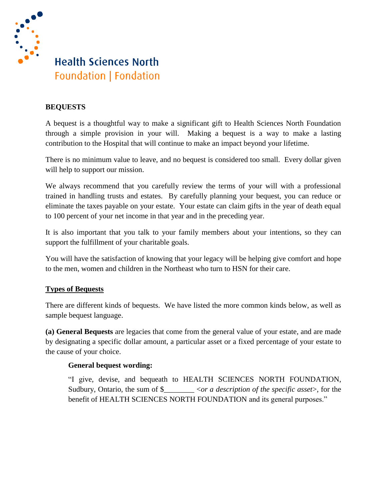

# **Health Sciences North Foundation | Fondation**

# **BEQUESTS**

A bequest is a thoughtful way to make a significant gift to Health Sciences North Foundation through a simple provision in your will. Making a bequest is a way to make a lasting contribution to the Hospital that will continue to make an impact beyond your lifetime.

There is no minimum value to leave, and no bequest is considered too small. Every dollar given will help to support our mission.

We always recommend that you carefully review the terms of your will with a professional trained in handling trusts and estates. By carefully planning your bequest, you can reduce or eliminate the taxes payable on your estate. Your estate can claim gifts in the year of death equal to 100 percent of your net income in that year and in the preceding year.

It is also important that you talk to your family members about your intentions, so they can support the fulfillment of your charitable goals.

You will have the satisfaction of knowing that your legacy will be helping give comfort and hope to the men, women and children in the Northeast who turn to HSN for their care.

## **Types of Bequests**

There are different kinds of bequests. We have listed the more common kinds below, as well as sample bequest language.

**(a) General Bequests** are legacies that come from the general value of your [estate,](http://www.leavealegacy.ca/program/about/glossary-of-terms/#estate) and are made by designating a [specific dollar amount,](http://www.leavealegacy.ca/program/how/giving-options/#2) a particular [asset](http://www.leavealegacy.ca/program/about/glossary-of-terms/#assets) or a fixed percentage of your [estate](http://www.leavealegacy.ca/program/about/glossary-of-terms/#estate) to the cause of your choice.

## **General bequest wording:**

"I give, devise, and bequeath to HEALTH SCIENCES NORTH FOUNDATION, Sudbury, Ontario, the sum of \$  $\langle$  *or a description of the specific asset*>, for the benefit of HEALTH SCIENCES NORTH FOUNDATION and its general purposes."